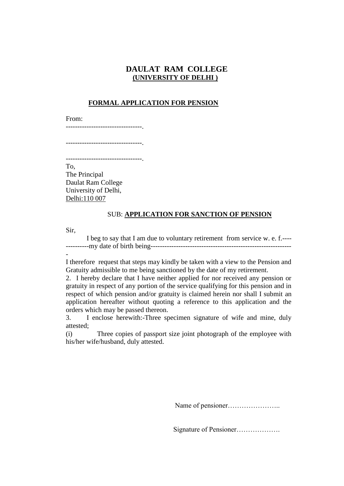## **DAULAT RAM COLLEGE (UNIVERSITY OF DELHI )**

#### **FORMAL APPLICATION FOR PENSION**

From:

---------------------------------.

---------------------------------.

.................................<sub>.</sub>

To, The Principal Daulat Ram College University of Delhi, Delhi:110 007

### SUB: **APPLICATION FOR SANCTION OF PENSION**

Sir,

-

I beg to say that I am due to voluntary retirement from service w. e. f.---- ----------my date of birth being-------------------------------------------------------------

I therefore request that steps may kindly be taken with a view to the Pension and Gratuity admissible to me being sanctioned by the date of my retirement.

2. I hereby declare that I have neither applied for nor received any pension or gratuity in respect of any portion of the service qualifying for this pension and in respect of which pension and/or gratuity is claimed herein nor shall I submit an application hereafter without quoting a reference to this application and the orders which may be passed thereon.

3. I enclose herewith:-Three specimen signature of wife and mine, duly attested;

(i) Three copies of passport size joint photograph of the employee with his/her wife/husband, duly attested.

Name of pensioner…………………..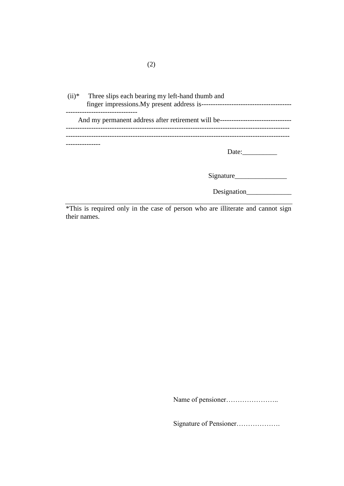| $(ii)*$ Three slips each bearing my left-hand thumb and |
|---------------------------------------------------------|
|                                                         |
| -----------------------------                           |
|                                                         |
| Date:                                                   |
|                                                         |
| Signature                                               |

\*This is required only in the case of person who are illiterate and cannot sign their names.

Name of pensioner…………………..

Designation\_\_\_\_\_\_\_\_\_\_\_\_\_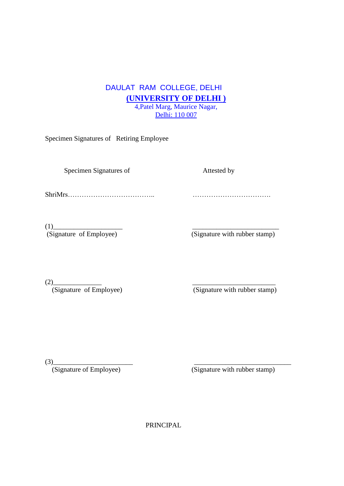## DAULAT RAM COLLEGE, DELHI **(UNIVERSITY OF DELHI )** 4,Patel Marg, Maurice Nagar, Delhi: 110 007

Specimen Signatures of Retiring Employee

Specimen Signatures of Attested by

ShriMrs……………………………….. …………………………….

 $(1)$ <br>(Signature of Employee)

(Signature with rubber stamp)

 $(2)$  (Signature of Employee)

 $\overline{\text{(Signature with rubber stamp)}}$ 

(3)\_\_\_\_\_\_\_\_\_\_\_\_\_\_\_\_\_\_\_\_\_\_\_ \_\_\_\_\_\_\_\_\_\_\_\_\_\_\_\_\_\_\_\_\_\_\_\_\_\_\_\_

(Signature of Employee) (Signature with rubber stamp)

PRINCIPAL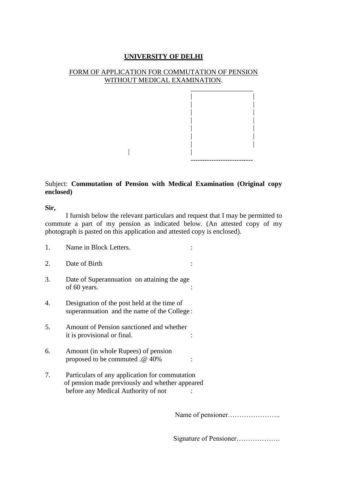## FORM OF APPLICATION FOR COMMUTATION OF PENSION WITHOUT MEDICAL EXAMINATION.



## Subject: **Commutation of Pension with Medical Examination (Original copy enclosed)**

 $|$ 

**Sir,**

I furnish below the relevant particulars and request that I may be permitted to commute a part of my pension as indicated below. (An attested copy of my photograph is pasted on this application and attested copy is enclosed).

| 1. | Name in Block Letters.                                                                                                                   |  |
|----|------------------------------------------------------------------------------------------------------------------------------------------|--|
| 2. | Date of Birth                                                                                                                            |  |
| 3. | Date of Superannuation on attaining the age.<br>of 60 years.                                                                             |  |
| 4. | Designation of the post held at the time of<br>superannuation and the name of the College:                                               |  |
| 5. | Amount of Pension sanctioned and whether<br>it is provisional or final.                                                                  |  |
| 6. | Amount (in whole Rupees) of pension<br>proposed to be commuted .@ 40%                                                                    |  |
| 7. | Particulars of any application for commutation<br>of pension made previously and whether appeared<br>before any Medical Authority of not |  |

Name of pensioner…………………..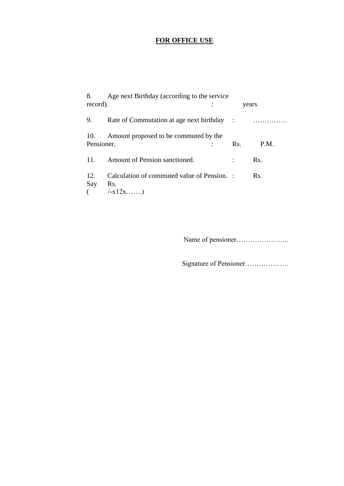# **FOR OFFICE USE**

| 8.                | Age next Birthday (according to the service                     |     |       |
|-------------------|-----------------------------------------------------------------|-----|-------|
| record).          |                                                                 |     | years |
| 9.                | Rate of Commutation at age next birthday :                      |     | .     |
| 10.<br>Pensioner. | Amount proposed to be commuted by the                           | Rs. | P.M.  |
| 11.               | Amount of Pension sanctioned.                                   |     | Rs.   |
| 12.<br>Say        | Calculation of commuted value of Pension. :<br>Rs.<br>$/ -x12x$ |     | Rs.   |

Name of pensioner…………………..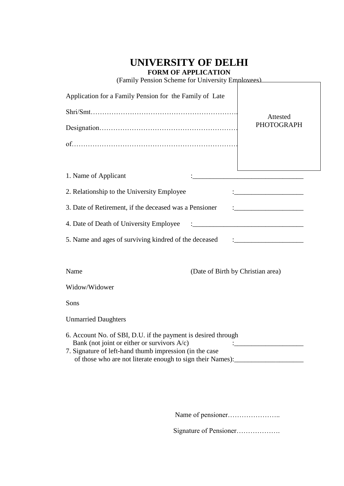## **FORM OF APPLICATION**

(Family Pension Scheme for University Employees)

| Application for a Family Pension for the Family of Late                                                                                                                                                                                                        |                                   |  |  |
|----------------------------------------------------------------------------------------------------------------------------------------------------------------------------------------------------------------------------------------------------------------|-----------------------------------|--|--|
|                                                                                                                                                                                                                                                                | Attested                          |  |  |
|                                                                                                                                                                                                                                                                | <b>PHOTOGRAPH</b>                 |  |  |
|                                                                                                                                                                                                                                                                |                                   |  |  |
|                                                                                                                                                                                                                                                                |                                   |  |  |
| 1. Name of Applicant                                                                                                                                                                                                                                           |                                   |  |  |
| 2. Relationship to the University Employee                                                                                                                                                                                                                     |                                   |  |  |
| 3. Date of Retirement, if the deceased was a Pensioner                                                                                                                                                                                                         |                                   |  |  |
| 4. Date of Death of University Employee                                                                                                                                                                                                                        |                                   |  |  |
| 5. Name and ages of surviving kindred of the deceased                                                                                                                                                                                                          |                                   |  |  |
|                                                                                                                                                                                                                                                                |                                   |  |  |
| Name                                                                                                                                                                                                                                                           | (Date of Birth by Christian area) |  |  |
| Widow/Widower                                                                                                                                                                                                                                                  |                                   |  |  |
| Sons                                                                                                                                                                                                                                                           |                                   |  |  |
| <b>Unmarried Daughters</b>                                                                                                                                                                                                                                     |                                   |  |  |
| 6. Account No. of SBI, D.U. if the payment is desired through<br>Bank (not joint or either or survivors $A/c$ )<br>7. Signature of left-hand thumb impression (in the case<br>of those who are not literate enough to sign their Names): _____________________ |                                   |  |  |

Name of pensioner…………………..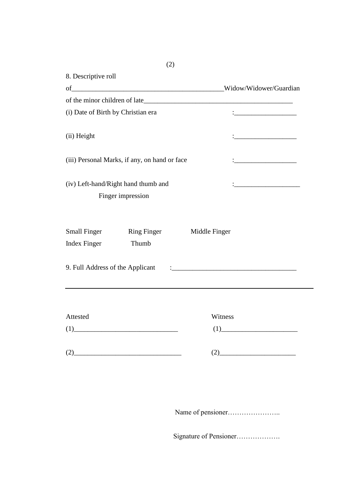|                                    | of                                                                                                                                                                                                                          | Widow/Widower/Guardian                                    |
|------------------------------------|-----------------------------------------------------------------------------------------------------------------------------------------------------------------------------------------------------------------------------|-----------------------------------------------------------|
|                                    |                                                                                                                                                                                                                             |                                                           |
| (i) Date of Birth by Christian era |                                                                                                                                                                                                                             | <u> 1989 - Johann Barbara, martxa alemaniar politikar</u> |
| (ii) Height                        |                                                                                                                                                                                                                             |                                                           |
|                                    | (iii) Personal Marks, if any, on hand or face                                                                                                                                                                               |                                                           |
|                                    | (iv) Left-hand/Right hand thumb and                                                                                                                                                                                         |                                                           |
|                                    | Finger impression                                                                                                                                                                                                           |                                                           |
| <b>Small Finger</b>                | <b>Ring Finger</b>                                                                                                                                                                                                          | Middle Finger                                             |
| <b>Index Finger</b>                | Thumb                                                                                                                                                                                                                       |                                                           |
| 9. Full Address of the Applicant   |                                                                                                                                                                                                                             |                                                           |
|                                    |                                                                                                                                                                                                                             |                                                           |
|                                    |                                                                                                                                                                                                                             | Witness                                                   |
| Attested                           |                                                                                                                                                                                                                             |                                                           |
|                                    | $(1)$ and $(1)$ and $(2)$ and $(3)$ and $(4)$ and $(5)$ and $(6)$ and $(7)$ and $(8)$ and $(9)$ and $(1)$ and $(1)$ and $(2)$ and $(3)$ and $(4)$ and $(5)$ and $(6)$ and $(7)$ and $(8)$ and $(9)$ and $(1)$ and $(1)$ and | (1)                                                       |

Name of pensioner…………………..

Signature of Pensioner……………….

(2)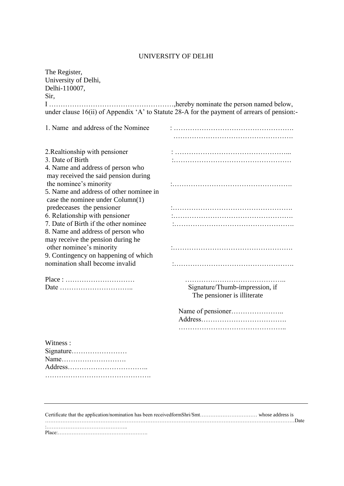| The Register,                                                           |                                                                                             |
|-------------------------------------------------------------------------|---------------------------------------------------------------------------------------------|
| University of Delhi,                                                    |                                                                                             |
| Delhi-110007,                                                           |                                                                                             |
| Sir,                                                                    |                                                                                             |
|                                                                         |                                                                                             |
|                                                                         | under clause 16(ii) of Appendix 'A' to Statute 28-A for the payment of arrears of pension:- |
|                                                                         |                                                                                             |
| 1. Name and address of the Nominee                                      |                                                                                             |
|                                                                         |                                                                                             |
| 2. Realtionship with pensioner                                          |                                                                                             |
| 3. Date of Birth                                                        |                                                                                             |
| 4. Name and address of person who                                       |                                                                                             |
| may received the said pension during                                    |                                                                                             |
| the nominee's minority                                                  |                                                                                             |
| 5. Name and address of other nominee in                                 |                                                                                             |
| case the nominee under Column(1)                                        |                                                                                             |
| predeceases the pensioner                                               |                                                                                             |
| 6. Relationship with pensioner                                          |                                                                                             |
| 7. Date of Birth if the other nominee                                   |                                                                                             |
| 8. Name and address of person who                                       |                                                                                             |
| may receive the pension during he                                       |                                                                                             |
| other nominee's minority                                                |                                                                                             |
| 9. Contingency on happening of which                                    |                                                                                             |
| nomination shall become invalid                                         |                                                                                             |
| $Place: \ldots \ldots \ldots \ldots \ldots \ldots \ldots \ldots \ldots$ |                                                                                             |
|                                                                         | Signature/Thumb-impression, if                                                              |
|                                                                         | The pensioner is illiterate                                                                 |
|                                                                         |                                                                                             |
|                                                                         |                                                                                             |
|                                                                         |                                                                                             |
|                                                                         |                                                                                             |
| Witness:                                                                |                                                                                             |
| Signature                                                               |                                                                                             |
| Name                                                                    |                                                                                             |
|                                                                         |                                                                                             |
|                                                                         |                                                                                             |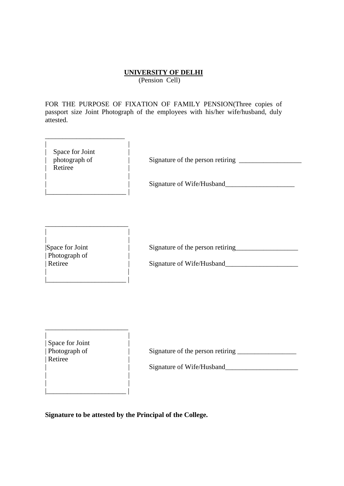(Pension Cell)

FOR THE PURPOSE OF FIXATION OF FAMILY PENSION(Three copies of passport size Joint Photograph of the employees with his/her wife/husband, duly attested.

| Space for Joint |  |
|-----------------|--|
| photograph of   |  |
| Retiree         |  |
|                 |  |

\_\_\_\_\_\_\_\_\_\_\_\_\_\_\_\_\_\_\_\_\_\_\_

|\_\_\_\_\_\_\_\_\_\_\_\_\_\_\_\_\_\_\_\_\_\_\_ |

\_\_\_\_\_\_\_\_\_\_\_\_\_\_\_\_\_\_\_\_\_\_\_\_ | |

|\_\_\_\_\_\_\_\_\_\_\_\_\_\_\_\_\_\_\_\_\_\_\_ |

\_\_\_\_\_\_\_\_\_\_\_\_\_\_\_\_\_\_\_\_\_\_\_\_

| | |\_\_\_\_\_\_\_\_\_\_\_\_\_\_\_\_\_\_\_\_\_\_\_ |

| photograph of | Signature of the person retiring \_\_\_\_\_\_\_\_\_\_\_\_\_\_\_\_\_\_

| | Signature of Wife/Husband\_\_\_\_\_\_\_\_\_\_\_\_\_\_\_\_\_\_\_\_

| | | Photograph of | | |

|Space for Joint | Signature of the person retiring\_\_\_\_\_\_\_\_\_\_\_\_\_\_\_\_\_\_\_\_\_\_\_\_\_\_\_\_\_\_

| Retiree | Signature of Wife/Husband\_\_\_\_\_\_\_\_\_\_\_\_\_\_\_\_\_\_\_\_\_

| | | Space for Joint<br>| Photograph of  $|$  Retiree | |

Signature of the person retiring

| | Signature of Wife/Husband\_\_\_\_\_\_\_\_\_\_\_\_\_\_\_\_\_\_\_\_\_

**Signature to be attested by the Principal of the College.**